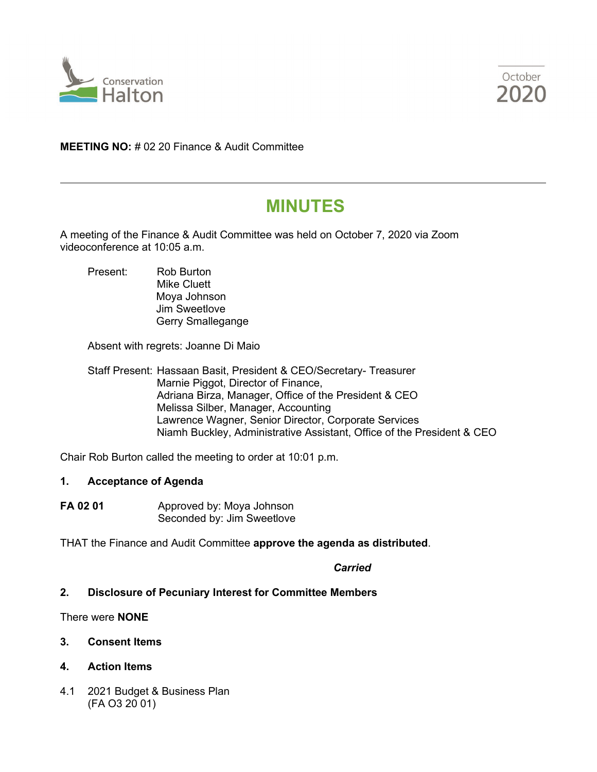



**MEETING NO:** # 02 20 Finance & Audit Committee

## **MINUTES**

A meeting of the Finance & Audit Committee was held on October 7, 2020 via Zoom videoconference at 10:05 a.m.

Present: Rob Burton Mike Cluett Moya Johnson Jim Sweetlove Gerry Smallegange

Absent with regrets: Joanne Di Maio

Staff Present: Hassaan Basit, President & CEO/Secretary- Treasurer Marnie Piggot, Director of Finance, Adriana Birza, Manager, Office of the President & CEO Melissa Silber, Manager, Accounting Lawrence Wagner, Senior Director, Corporate Services Niamh Buckley, Administrative Assistant, Office of the President & CEO

Chair Rob Burton called the meeting to order at 10:01 p.m.

## **1. Acceptance of Agenda**

**FA 02 01** Approved by: Moya Johnson Seconded by: Jim Sweetlove

THAT the Finance and Audit Committee **approve the agenda as distributed**.

*Carried*

## **2. Disclosure of Pecuniary Interest for Committee Members**

There were **NONE**

- **3. Consent Items**
- **4. Action Items**
- 4.1 2021 Budget & Business Plan (FA O3 20 01)